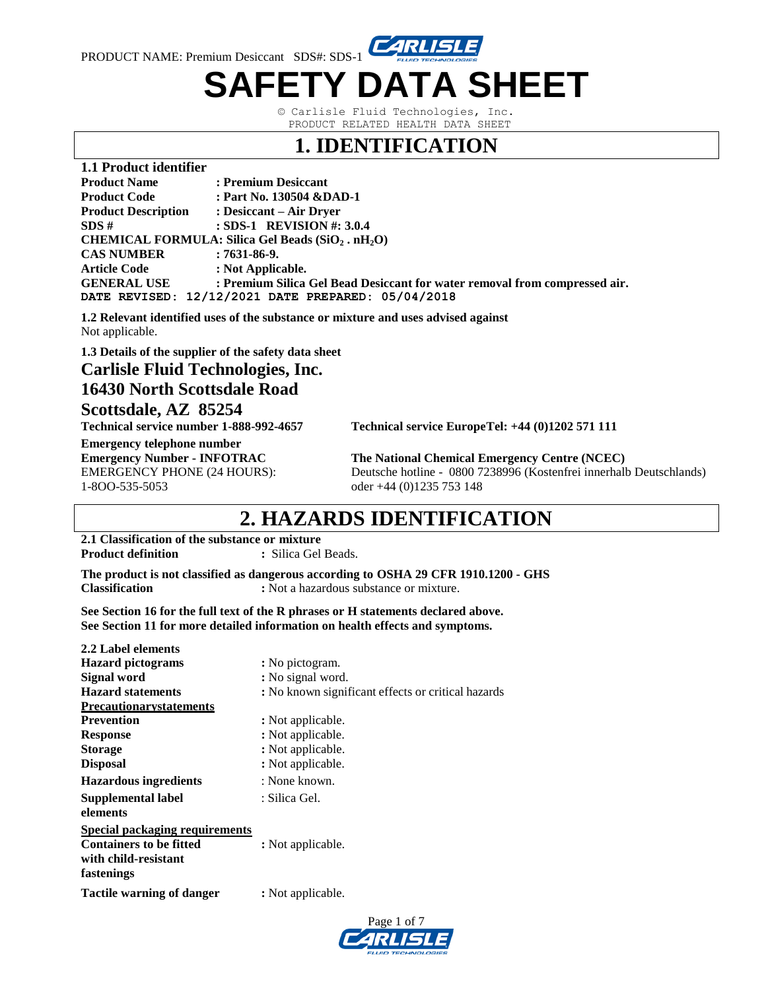

# **SAFETY DATA SHEET**

© Carlisle Fluid Technologies, Inc. PRODUCT RELATED HEALTH DATA SHEET

#### **1. IDENTIFICATION**

| 1.1 Product identifier     |                                                                            |
|----------------------------|----------------------------------------------------------------------------|
| <b>Product Name</b>        | : Premium Desiccant                                                        |
| <b>Product Code</b>        | : Part No. 130504 & DAD-1                                                  |
| <b>Product Description</b> | : Desiccant – Air Drver                                                    |
| SDS#                       | : SDS-1 REVISION #: $3.0.4$                                                |
|                            | CHEMICAL FORMULA: Silica Gel Beads (SiO <sub>2</sub> . nH <sub>2</sub> O)  |
| <b>CAS NUMBER</b>          | $:7631-86-9.$                                                              |
| <b>Article Code</b>        | : Not Applicable.                                                          |
| <b>GENERAL USE</b>         | : Premium Silica Gel Bead Desiccant for water removal from compressed air. |
|                            | DATE REVISED: 12/12/2021 DATE PREPARED: 05/04/2018                         |

**1.2 Relevant identified uses of the substance or mixture and uses advised against** Not applicable.

**1.3 Details of the supplier of the safety data sheet**

**Carlisle Fluid Technologies, Inc.**

#### **16430 North Scottsdale Road Scottsdale, AZ 85254**

**Technical service number 1-888-992-4657 Technical service EuropeTel: +44 (0)1202 571 111** 

**Emergency telephone number** 1-8OO-535-5053 oder +44 (0)1235 753 148

**Emergency Number - INFOTRAC The National Chemical Emergency Centre (NCEC)** EMERGENCY PHONE (24 HOURS): Deutsche hotline - 0800 7238996 (Kostenfrei innerhalb Deutschlands)

### **2. HAZARDS IDENTIFICATION**

**2.1 Classification of the substance or mixture Product definition : Silica Gel Beads.** 

**The product is not classified as dangerous according to OSHA 29 CFR 1910.1200 - GHS Classification :** Not a hazardous substance or mixture.

**See Section 16 for the full text of the R phrases or H statements declared above. See Section 11 for more detailed information on health effects and symptoms.**

| 2.2 Label elements                    |                                                    |
|---------------------------------------|----------------------------------------------------|
| <b>Hazard</b> pictograms              | : No pictogram.                                    |
| Signal word                           | : No signal word.                                  |
| <b>Hazard statements</b>              | : No known significant effects or critical hazards |
| <b>Precautionarystatements</b>        |                                                    |
| <b>Prevention</b>                     | : Not applicable.                                  |
| <b>Response</b>                       | : Not applicable.                                  |
| <b>Storage</b>                        | : Not applicable.                                  |
| <b>Disposal</b>                       | : Not applicable.                                  |
| <b>Hazardous ingredients</b>          | : None known.                                      |
| Supplemental label                    | : Silica Gel.                                      |
| elements                              |                                                    |
| <b>Special packaging requirements</b> |                                                    |
| <b>Containers to be fitted</b>        | : Not applicable.                                  |
| with child-resistant                  |                                                    |
| fastenings                            |                                                    |
| <b>Tactile warning of danger</b>      | : Not applicable.                                  |
|                                       |                                                    |

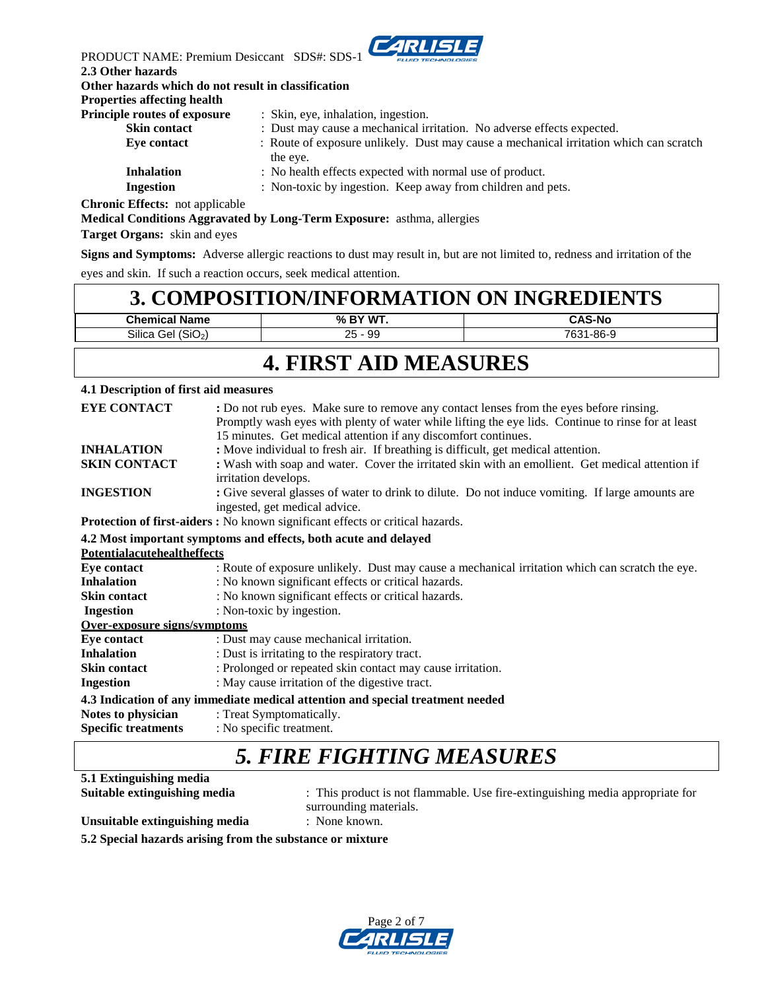

| PRODUCT NAME: Premium Desiccant SDS#: SDS-1         | <u> The Communication of the Communication of the Communication of the Communication of the Communication of the Communication of the Communication of the Communication of the Communication of the Communication of the Commun</u><br><b>FLUID TECHNOLOGIES</b> |
|-----------------------------------------------------|-------------------------------------------------------------------------------------------------------------------------------------------------------------------------------------------------------------------------------------------------------------------|
| 2.3 Other hazards                                   |                                                                                                                                                                                                                                                                   |
| Other hazards which do not result in classification |                                                                                                                                                                                                                                                                   |
| <b>Properties affecting health</b>                  |                                                                                                                                                                                                                                                                   |
| <b>Principle routes of exposure</b>                 | : Skin, eye, inhalation, ingestion.                                                                                                                                                                                                                               |
| <b>Skin contact</b>                                 | : Dust may cause a mechanical irritation. No adverse effects expected.                                                                                                                                                                                            |
| Eye contact                                         | : Route of exposure unlikely. Dust may cause a mechanical irritation which can scratch<br>the eye.                                                                                                                                                                |
| <b>Inhalation</b>                                   | : No health effects expected with normal use of product.                                                                                                                                                                                                          |
| Ingestion                                           | : Non-toxic by ingestion. Keep away from children and pets.                                                                                                                                                                                                       |
| <b>Chronic Effects:</b> not applicable              |                                                                                                                                                                                                                                                                   |

**Medical Conditions Aggravated by Long-Term Exposure:** asthma, allergies

**Target Organs:** skin and eyes

**Signs and Symptoms:** Adverse allergic reactions to dust may result in, but are not limited to, redness and irritation of the eyes and skin. If such a reaction occurs, seek medical attention.

#### **3. COMPOSITION/INFORMATION ON INGREDIENTS Chemical Name % BY WT. CAS-No**

| .                  | $\sim$ $\sim$ $\sim$<br>.           | $\cdots$                                  |
|--------------------|-------------------------------------|-------------------------------------------|
| -<br>SIIIC2<br>∼'' | n r<br>റ $\epsilon$<br>ັບ<br>$\sim$ | 700 <sub>1</sub><br>$\circ$<br>-00-<br>ບບ |
|                    |                                     |                                           |

#### **4. FIRST AID MEASURES**

#### **4.1 Description of first aid measures**

| <b>EYE CONTACT</b>                                                             | : Do not rub eyes. Make sure to remove any contact lenses from the eyes before rinsing.<br>Promptly wash eyes with plenty of water while lifting the eye lids. Continue to rinse for at least<br>15 minutes. Get medical attention if any discomfort continues. |  |
|--------------------------------------------------------------------------------|-----------------------------------------------------------------------------------------------------------------------------------------------------------------------------------------------------------------------------------------------------------------|--|
| <b>INHALATION</b>                                                              | : Move individual to fresh air. If breathing is difficult, get medical attention.                                                                                                                                                                               |  |
| <b>SKIN CONTACT</b>                                                            | : Wash with soap and water. Cover the irritated skin with an emollient. Get medical attention if<br>irritation develops.                                                                                                                                        |  |
| <b>INGESTION</b>                                                               | : Give several glasses of water to drink to dilute. Do not induce vomiting. If large amounts are<br>ingested, get medical advice.                                                                                                                               |  |
|                                                                                | Protection of first-aiders: No known significant effects or critical hazards.                                                                                                                                                                                   |  |
|                                                                                | 4.2 Most important symptoms and effects, both acute and delayed                                                                                                                                                                                                 |  |
| <b>Potentialacutehealtheffects</b>                                             |                                                                                                                                                                                                                                                                 |  |
| Eye contact                                                                    | : Route of exposure unlikely. Dust may cause a mechanical irritation which can scratch the eye.                                                                                                                                                                 |  |
| <b>Inhalation</b>                                                              | : No known significant effects or critical hazards.                                                                                                                                                                                                             |  |
| <b>Skin contact</b>                                                            | : No known significant effects or critical hazards.                                                                                                                                                                                                             |  |
| Ingestion                                                                      | : Non-toxic by ingestion.                                                                                                                                                                                                                                       |  |
| Over-exposure signs/symptoms                                                   |                                                                                                                                                                                                                                                                 |  |
| Eye contact                                                                    | : Dust may cause mechanical irritation.                                                                                                                                                                                                                         |  |
| <b>Inhalation</b>                                                              | : Dust is irritating to the respiratory tract.                                                                                                                                                                                                                  |  |
| Skin contact                                                                   | : Prolonged or repeated skin contact may cause irritation.                                                                                                                                                                                                      |  |
| <b>Ingestion</b>                                                               | : May cause irritation of the digestive tract.                                                                                                                                                                                                                  |  |
| 4.3 Indication of any immediate medical attention and special treatment needed |                                                                                                                                                                                                                                                                 |  |
| Notes to physician                                                             | : Treat Symptomatically.                                                                                                                                                                                                                                        |  |
| <b>Specific treatments</b>                                                     | : No specific treatment.                                                                                                                                                                                                                                        |  |
|                                                                                |                                                                                                                                                                                                                                                                 |  |

### *5. FIRE FIGHTING MEASURES*

**5.1 Extinguishing media**

**Suitable extinguishing media** : This product is not flammable. Use fire-extinguishing media appropriate for surrounding materials.

**Unsuitable extinguishing media** : None known.

**5.2 Special hazards arising from the substance or mixture**

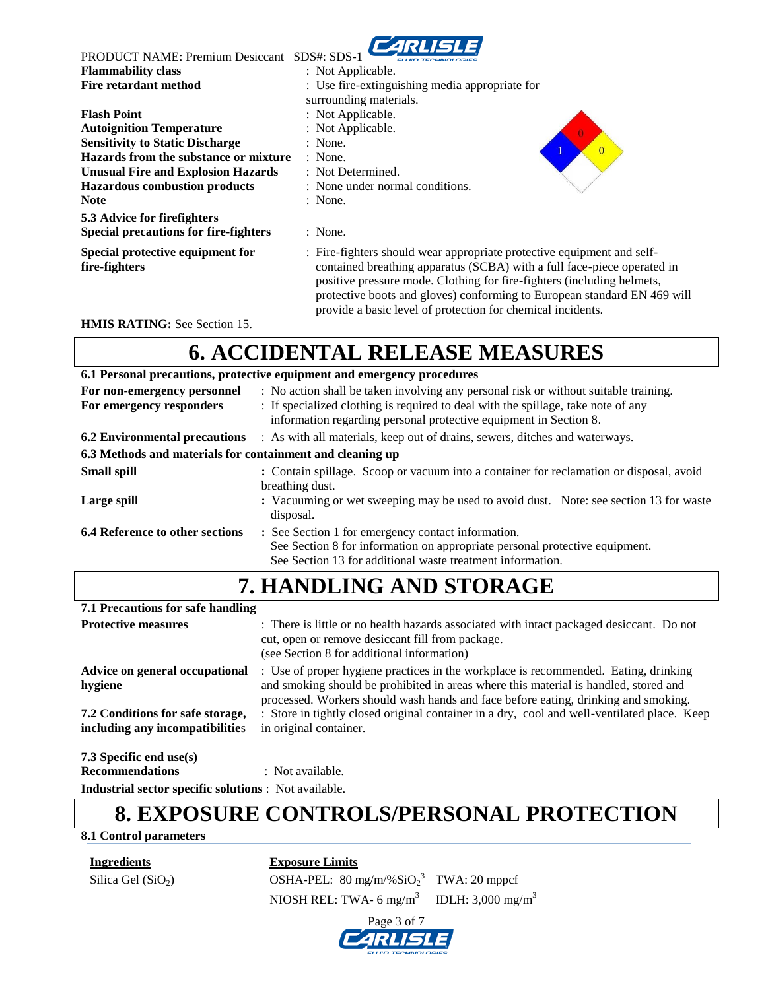

| <b>PRODUCT NAME: Premium Desiccant</b>            | SDS#: SDS-1                                                                                                                                                                                                                                                                                                                                                            |
|---------------------------------------------------|------------------------------------------------------------------------------------------------------------------------------------------------------------------------------------------------------------------------------------------------------------------------------------------------------------------------------------------------------------------------|
| <b>Flammability class</b>                         | : Not Applicable.                                                                                                                                                                                                                                                                                                                                                      |
| Fire retardant method                             | : Use fire-extinguishing media appropriate for                                                                                                                                                                                                                                                                                                                         |
|                                                   | surrounding materials.                                                                                                                                                                                                                                                                                                                                                 |
| <b>Flash Point</b>                                | : Not Applicable.                                                                                                                                                                                                                                                                                                                                                      |
| <b>Autoignition Temperature</b>                   | : Not Applicable.                                                                                                                                                                                                                                                                                                                                                      |
| <b>Sensitivity to Static Discharge</b>            | : None.<br>$\Omega$                                                                                                                                                                                                                                                                                                                                                    |
| Hazards from the substance or mixture             | $:$ None.                                                                                                                                                                                                                                                                                                                                                              |
| <b>Unusual Fire and Explosion Hazards</b>         | : Not Determined.                                                                                                                                                                                                                                                                                                                                                      |
| <b>Hazardous combustion products</b>              | : None under normal conditions.                                                                                                                                                                                                                                                                                                                                        |
| <b>Note</b>                                       | : None.                                                                                                                                                                                                                                                                                                                                                                |
| 5.3 Advice for firefighters                       |                                                                                                                                                                                                                                                                                                                                                                        |
| <b>Special precautions for fire-fighters</b>      | : None.                                                                                                                                                                                                                                                                                                                                                                |
| Special protective equipment for<br>fire-fighters | : Fire-fighters should wear appropriate protective equipment and self-<br>contained breathing apparatus (SCBA) with a full face-piece operated in<br>positive pressure mode. Clothing for fire-fighters (including helmets,<br>protective boots and gloves) conforming to European standard EN 469 will<br>provide a basic level of protection for chemical incidents. |

**HMIS RATING:** See Section 15.

### **6. ACCIDENTAL RELEASE MEASURES**

| 6.1 Personal precautions, protective equipment and emergency procedures |                                                                                                                                                                                                                                                |  |
|-------------------------------------------------------------------------|------------------------------------------------------------------------------------------------------------------------------------------------------------------------------------------------------------------------------------------------|--|
| For non-emergency personnel<br>For emergency responders                 | : No action shall be taken involving any personal risk or without suitable training.<br>: If specialized clothing is required to deal with the spillage, take note of any<br>information regarding personal protective equipment in Section 8. |  |
| <b>6.2 Environmental precautions</b>                                    | : As with all materials, keep out of drains, sewers, ditches and waterways.                                                                                                                                                                    |  |
| 6.3 Methods and materials for containment and cleaning up               |                                                                                                                                                                                                                                                |  |
| <b>Small spill</b>                                                      | : Contain spillage. Scoop or vacuum into a container for reclamation or disposal, avoid<br>breathing dust.                                                                                                                                     |  |
| Large spill                                                             | : Vacuuming or wet sweeping may be used to avoid dust. Note: see section 13 for waste<br>disposal.                                                                                                                                             |  |
| <b>6.4 Reference to other sections</b>                                  | : See Section 1 for emergency contact information.<br>See Section 8 for information on appropriate personal protective equipment.<br>See Section 13 for additional waste treatment information.                                                |  |

#### **7. HANDLING AND STORAGE 7.1 Precautions for safe handling Protective measures** : There is little or no health hazards associated with intact packaged desiccant. Do not cut, open or remove desiccant fill from package. (see Section 8 for additional information) **Advice on general occupational** : Use of proper hygiene practices in the workplace is recommended. Eating, drinking **hygiene** and smoking should be prohibited in areas where this material is handled, stored and processed. Workers should wash hands and face before eating, drinking and smoking. **7.2 Conditions for safe storage,** : Store in tightly closed original container in a dry, cool and well-ventilated place. Keep **including any incompatibilities** in original container. **7.3 Specific end use(s) Recommendations** : Not available.

**Industrial sector specific solutions** : Not available.

### **8. EXPOSURE CONTROLS/PERSONAL PROTECTION**

#### **8.1 Control parameters**

**Ingredients Exposure Limits**

Silica Gel (SiO<sub>2</sub>)  $OSHA-PEL: 80 mg/m\%SiO<sub>2</sub><sup>3</sup> TWA: 20 mppcf$ NIOSH REL: TWA- 6 mg/m<sup>3</sup> IDLH:  $3,000 \text{ mg/m}^3$ 

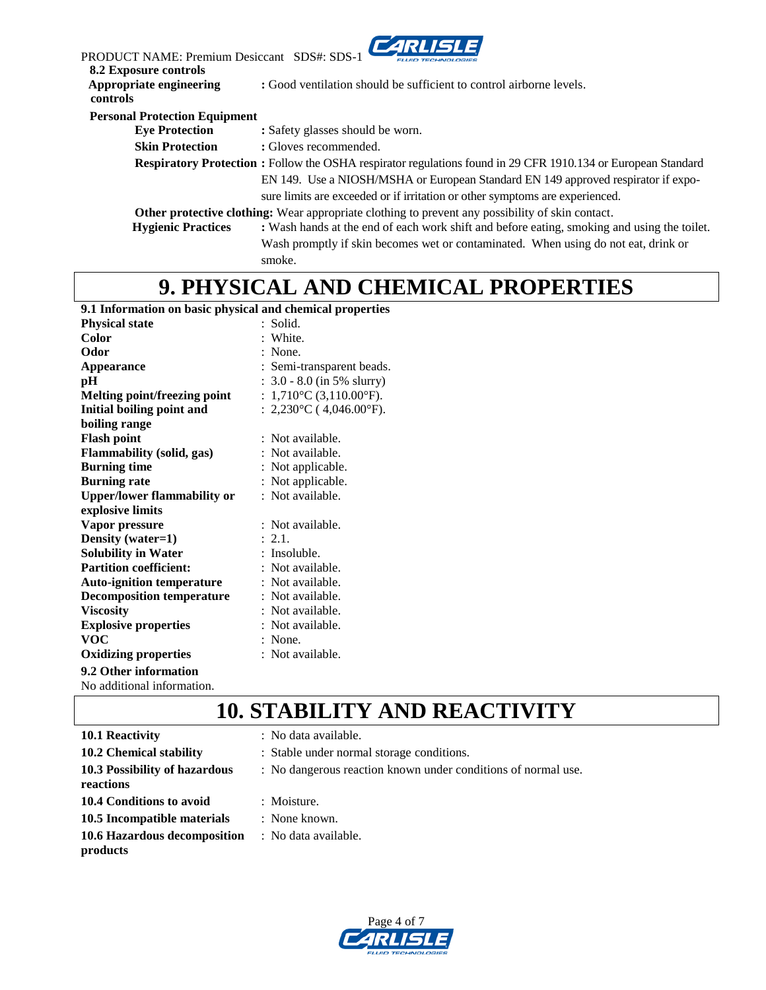| PRODUCT NAME: Premium Desiccant SDS#: SDS-<br><b>8.2 Exposure controls</b> | <b>CARLISLE</b>                                                                                                                                                                                           |  |
|----------------------------------------------------------------------------|-----------------------------------------------------------------------------------------------------------------------------------------------------------------------------------------------------------|--|
| Appropriate engineering<br>controls                                        | : Good ventilation should be sufficient to control airborne levels.                                                                                                                                       |  |
| <b>Personal Protection Equipment</b>                                       |                                                                                                                                                                                                           |  |
| <b>Eye Protection</b>                                                      | : Safety glasses should be worn.                                                                                                                                                                          |  |
| <b>Skin Protection</b>                                                     | : Gloves recommended.                                                                                                                                                                                     |  |
|                                                                            | <b>Respiratory Protection :</b> Follow the OSHA respirator regulations found in 29 CFR 1910.134 or European Standard<br>EN 149. Use a NIOSH/MSHA or European Standard EN 149 approved respirator if expo- |  |
|                                                                            | sure limits are exceeded or if irritation or other symptoms are experienced.                                                                                                                              |  |
|                                                                            | <b>Other protective clothing:</b> Wear appropriate clothing to prevent any possibility of skin contact.                                                                                                   |  |
| <b>Hygienic Practices</b>                                                  | : Wash hands at the end of each work shift and before eating, smoking and using the toilet.                                                                                                               |  |
|                                                                            | Wash promptly if skin becomes wet or contaminated. When using do not eat, drink or                                                                                                                        |  |
|                                                                            | smoke.                                                                                                                                                                                                    |  |

### **9. PHYSICAL AND CHEMICAL PROPERTIES**

#### **9.1 Information on basic physical and chemical properties**

| <b>Physical state</b>              | : Solid.                          |
|------------------------------------|-----------------------------------|
| Color                              | : White.                          |
| Odor                               | : None.                           |
| <b>Appearance</b>                  | : Semi-transparent beads.         |
| pН                                 | $: 3.0 - 8.0$ (in 5% slurry)      |
| Melting point/freezing point       | : $1,710^{\circ}$ C (3,110.00°F). |
| <b>Initial boiling point and</b>   | : $2,230^{\circ}$ C (4,046.00°F). |
| boiling range                      |                                   |
| <b>Flash point</b>                 | : Not available.                  |
| <b>Flammability (solid, gas)</b>   | : Not available.                  |
| <b>Burning time</b>                | : Not applicable.                 |
| <b>Burning rate</b>                | : Not applicable.                 |
| <b>Upper/lower flammability or</b> | : Not available.                  |
| explosive limits                   |                                   |
| Vapor pressure                     | : Not available.                  |
| Density (water=1)                  | : 2.1.                            |
| <b>Solubility in Water</b>         | : Insoluble.                      |
| <b>Partition coefficient:</b>      | : Not available.                  |
| <b>Auto-ignition temperature</b>   | : Not available.                  |
| <b>Decomposition temperature</b>   | : Not available.                  |
| <b>Viscosity</b>                   | : Not available.                  |
| <b>Explosive properties</b>        | : Not available.                  |
| <b>VOC</b>                         | $:$ None.                         |
| <b>Oxidizing properties</b>        | : Not available.                  |
| 9.2 Other information              |                                   |
| No additional information.         |                                   |

**10. STABILITY AND REACTIVITY**

| 10.1 Reactivity               | : No data available.                                          |
|-------------------------------|---------------------------------------------------------------|
| 10.2 Chemical stability       | : Stable under normal storage conditions.                     |
| 10.3 Possibility of hazardous | : No dangerous reaction known under conditions of normal use. |
| reactions                     |                                                               |
| 10.4 Conditions to avoid      | : Moisture.                                                   |
| 10.5 Incompatible materials   | : None known.                                                 |
| 10.6 Hazardous decomposition  | : No data available.                                          |
| products                      |                                                               |

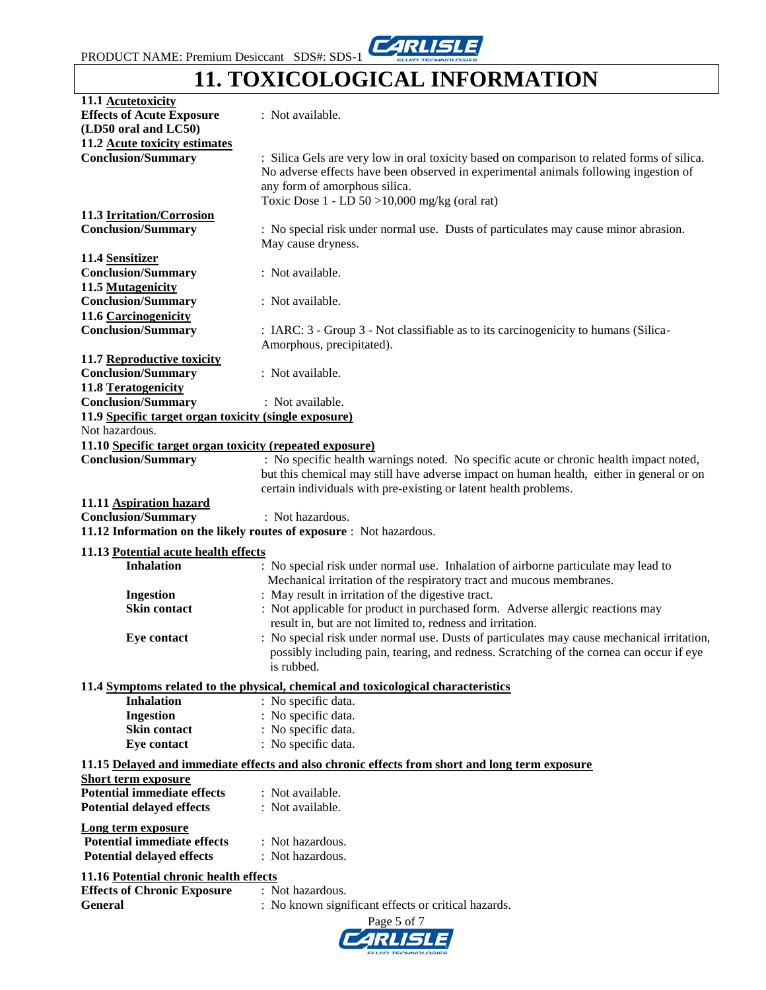## **11. TOXICOLOGICAL INFORMATION**

| 11.1 Acutetoxicity                                       |                                                                                                |
|----------------------------------------------------------|------------------------------------------------------------------------------------------------|
| <b>Effects of Acute Exposure</b>                         | : Not available.                                                                               |
| (LD50 oral and LC50)                                     |                                                                                                |
| 11.2 Acute toxicity estimates                            |                                                                                                |
| <b>Conclusion/Summary</b>                                | : Silica Gels are very low in oral toxicity based on comparison to related forms of silica.    |
|                                                          | No adverse effects have been observed in experimental animals following ingestion of           |
|                                                          | any form of amorphous silica.                                                                  |
|                                                          |                                                                                                |
|                                                          | Toxic Dose $1$ - LD 50 > 10,000 mg/kg (oral rat)                                               |
| 11.3 Irritation/Corrosion                                |                                                                                                |
| <b>Conclusion/Summary</b>                                | : No special risk under normal use. Dusts of particulates may cause minor abrasion.            |
|                                                          | May cause dryness.                                                                             |
| 11.4 Sensitizer                                          |                                                                                                |
| <b>Conclusion/Summary</b>                                | : Not available.                                                                               |
| 11.5 Mutagenicity                                        |                                                                                                |
| <b>Conclusion/Summary</b>                                | : Not available.                                                                               |
| 11.6 Carcinogenicity                                     |                                                                                                |
| <b>Conclusion/Summary</b>                                | : IARC: 3 - Group 3 - Not classifiable as to its carcinogenicity to humans (Silica-            |
|                                                          | Amorphous, precipitated).                                                                      |
|                                                          |                                                                                                |
| 11.7 Reproductive toxicity                               |                                                                                                |
| <b>Conclusion/Summary</b>                                | : Not available.                                                                               |
| 11.8 Teratogenicity                                      |                                                                                                |
| <b>Conclusion/Summary</b>                                | : Not available.                                                                               |
| 11.9 Specific target organ toxicity (single exposure)    |                                                                                                |
| Not hazardous.                                           |                                                                                                |
| 11.10 Specific target organ toxicity (repeated exposure) |                                                                                                |
| <b>Conclusion/Summary</b>                                | : No specific health warnings noted. No specific acute or chronic health impact noted,         |
|                                                          | but this chemical may still have adverse impact on human health, either in general or on       |
|                                                          | certain individuals with pre-existing or latent health problems.                               |
|                                                          |                                                                                                |
| 11.11 Aspiration hazard                                  |                                                                                                |
| <b>Conclusion/Summary</b>                                | : Not hazardous.                                                                               |
|                                                          | 11.12 Information on the likely routes of exposure : Not hazardous.                            |
| 11.13 Potential acute health effects                     |                                                                                                |
| <b>Inhalation</b>                                        | : No special risk under normal use. Inhalation of airborne particulate may lead to             |
|                                                          | Mechanical irritation of the respiratory tract and mucous membranes.                           |
| <b>Ingestion</b>                                         | : May result in irritation of the digestive tract.                                             |
|                                                          |                                                                                                |
| Skin contact                                             | : Not applicable for product in purchased form. Adverse allergic reactions may                 |
|                                                          | result in, but are not limited to, redness and irritation.                                     |
| <b>Eye contact</b>                                       | : No special risk under normal use. Dusts of particulates may cause mechanical irritation,     |
|                                                          | possibly including pain, tearing, and redness. Scratching of the cornea can occur if eye       |
|                                                          | is rubbed.                                                                                     |
|                                                          | 11.4 Symptoms related to the physical, chemical and toxicological characteristics              |
| <b>Inhalation</b>                                        |                                                                                                |
|                                                          | : No specific data.                                                                            |
| <b>Ingestion</b>                                         | : No specific data.                                                                            |
| Skin contact                                             | : No specific data.                                                                            |
| <b>Eye contact</b>                                       | : No specific data.                                                                            |
|                                                          | 11.15 Delayed and immediate effects and also chronic effects from short and long term exposure |
| <b>Short term exposure</b>                               |                                                                                                |
| <b>Potential immediate effects</b>                       | : Not available.                                                                               |
|                                                          |                                                                                                |
| <b>Potential delayed effects</b>                         | : Not available.                                                                               |
| Long term exposure                                       |                                                                                                |
| <b>Potential immediate effects</b>                       | : Not hazardous.                                                                               |
| <b>Potential delayed effects</b>                         | : Not hazardous.                                                                               |
|                                                          |                                                                                                |
| 11.16 Potential chronic health effects                   |                                                                                                |
| <b>Effects of Chronic Exposure</b>                       | : Not hazardous.                                                                               |
| <b>General</b>                                           | : No known significant effects or critical hazards.                                            |
|                                                          | Page 5 of 7                                                                                    |
|                                                          |                                                                                                |

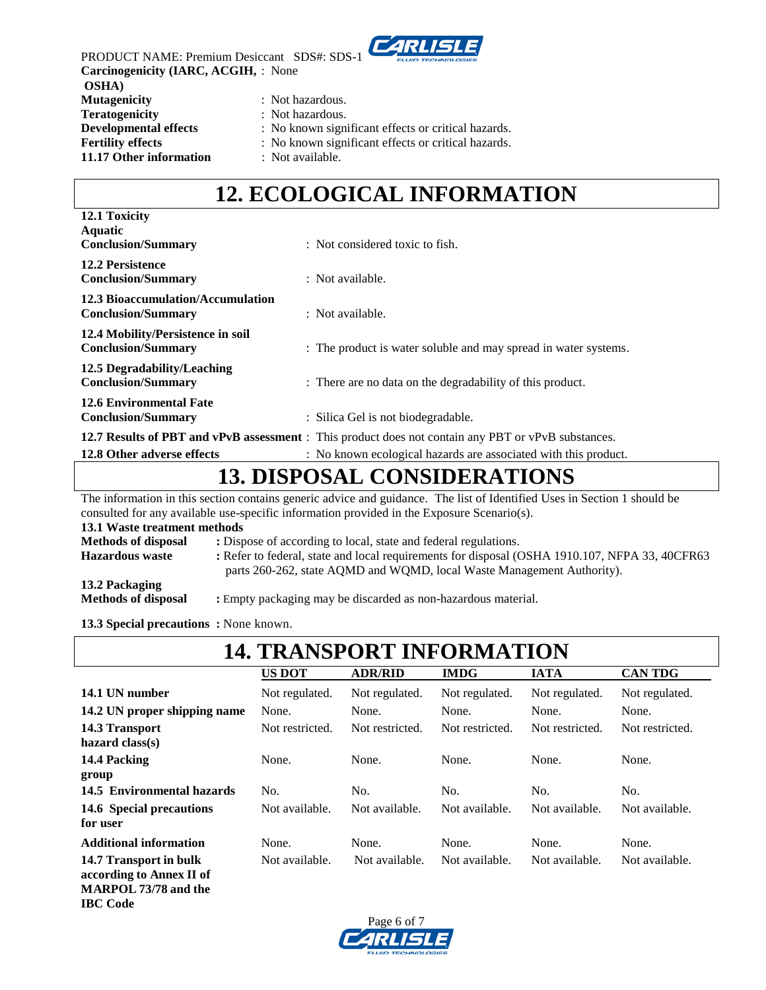

PRODUCT NAME: Premium Desiccant SDS#: SDS-1 **Carcinogenicity (IARC, ACGIH,** : None **OSHA) Mutagenicity** : Not hazardous. **Teratogenicity** : Not hazardous. **Developmental effects** : No known significant effects or critical hazards. **Fertility effects** : No known significant effects or critical hazards. **11.17 Other information** : Not available.

### **12. ECOLOGICAL INFORMATION**

| 12.1 Toxicity                                                  |                                                                                                                                                                        |
|----------------------------------------------------------------|------------------------------------------------------------------------------------------------------------------------------------------------------------------------|
| <b>Aquatic</b><br><b>Conclusion/Summary</b>                    | : Not considered toxic to fish.                                                                                                                                        |
| <b>12.2 Persistence</b><br><b>Conclusion/Summary</b>           | : Not available.                                                                                                                                                       |
| 12.3 Bioaccumulation/Accumulation<br><b>Conclusion/Summary</b> | : Not available.                                                                                                                                                       |
| 12.4 Mobility/Persistence in soil<br><b>Conclusion/Summary</b> | : The product is water soluble and may spread in water systems.                                                                                                        |
| 12.5 Degradability/Leaching<br><b>Conclusion/Summary</b>       | : There are no data on the degradability of this product.                                                                                                              |
| <b>12.6 Environmental Fate</b><br><b>Conclusion/Summary</b>    | : Silica Gel is not biodegradable.                                                                                                                                     |
| 12.8 Other adverse effects                                     | 12.7 Results of PBT and vPvB assessment : This product does not contain any PBT or vPvB substances.<br>: No known ecological hazards are associated with this product. |

### **13. DISPOSAL CONSIDERATIONS**

The information in this section contains generic advice and guidance. The list of Identified Uses in Section 1 should be consulted for any available use-specific information provided in the Exposure Scenario(s). **13.1 Waste treatment methods Methods of disposal :** Dispose of according to local, state and federal regulations. **Hazardous waste :** Refer to federal, state and local requirements for disposal (OSHA 1910.107, NFPA 33, 40CFR63 parts 260-262, state AQMD and WQMD, local Waste Management Authority). **13.2 Packaging Methods of disposal :** Empty packaging may be discarded as non-hazardous material.

**13.3 Special precautions :** None known.

**IBC Code**

| <b>14. TRANSPORT INFORMATION</b>                                                  |                 |                 |                 |                 |                 |
|-----------------------------------------------------------------------------------|-----------------|-----------------|-----------------|-----------------|-----------------|
|                                                                                   | <b>US DOT</b>   | <b>ADR/RID</b>  | <b>IMDG</b>     | <b>IATA</b>     | <b>CAN TDG</b>  |
| 14.1 UN number                                                                    | Not regulated.  | Not regulated.  | Not regulated.  | Not regulated.  | Not regulated.  |
| 14.2 UN proper shipping name                                                      | None.           | None.           | None.           | None.           | None.           |
| 14.3 Transport<br>hazard $class(s)$                                               | Not restricted. | Not restricted. | Not restricted. | Not restricted. | Not restricted. |
| 14.4 Packing<br>group                                                             | None.           | None.           | None.           | None.           | None.           |
| 14.5 Environmental hazards                                                        | No.             | No.             | No.             | No.             | No.             |
| 14.6 Special precautions<br>for user                                              | Not available.  | Not available.  | Not available.  | Not available.  | Not available.  |
| <b>Additional information</b>                                                     | None.           | None.           | None.           | None.           | None.           |
| 14.7 Transport in bulk<br>according to Annex II of<br><b>MARPOL 73/78 and the</b> | Not available.  | Not available.  | Not available.  | Not available.  | Not available.  |